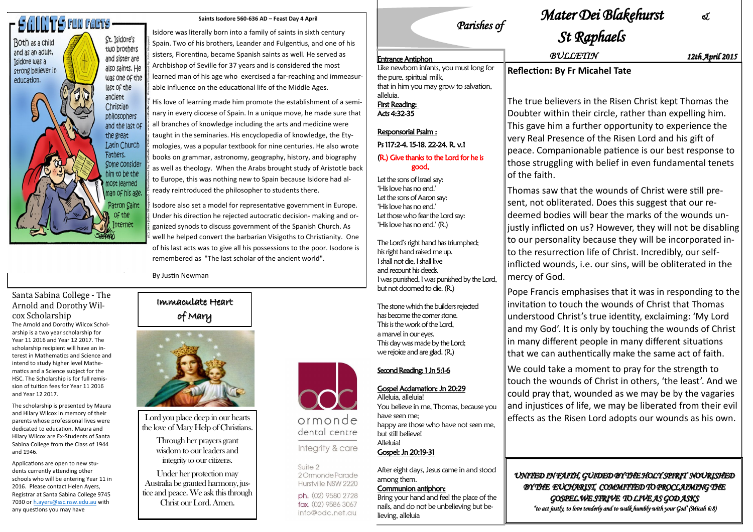# **SAINTS FUN FARTS**

Both as a child

and as an adult,

strong believer in

Tsidore was a

education.

St. Isidore's two brothers and sister are also saints. He was one of the last of the ancient Christian philosophers and the last of the great Latin Church Fathers. Some consider him to be the most learned man of his age Patron Saint of the **Internet** 

#### Immaculate Heart of Mary



Lord you place deep in our hearts the love of Mary Help of Christians.

> Through her prayers grant wisdom to our leaders and integrity to our citizens.

Under her protection may Australia be granted harmony, justice and peace. We ask this through Christ our Lord. Amen.



ormonde dental centre

Integrity & care

Suite 2 2 Ormonde Parade Hurstville NSW 2220

ph. (02) 9580 2728 fax. (02) 9586 3067 info@odc.net.au

**Saints Isodore 560-636 AD – Feast Day 4 April**

Isidore was literally born into a family of saints in sixth century Spain. Two of his brothers, Leander and Fulgentius, and one of his sisters, Florentina, became Spanish saints as well. He served as Archbishop of Seville for 37 years and is considered the most learned man of his age who exercised a far-reaching and immeasurable influence on the educational life of the Middle Ages.

His love of learning made him promote the establishment of a seminary in every diocese of Spain. In a unique move, he made sure that all branches of knowledge including the arts and medicine were taught in the seminaries. His encyclopedia of knowledge, the Etymologies, was a popular textbook for nine centuries. He also wrote books on grammar, astronomy, geography, history, and biography as well as theology. When the Arabs brought study of Aristotle back to Europe, this was nothing new to Spain because Isidore had already reintroduced the philosopher to students there.

Isodore also set a model for representative government in Europe. Under his direction he rejected autocratic decision- making and organized synods to discuss government of the Spanish Church. As well he helped convert the barbarian Visigoths to Christianity. One of his last acts was to give all his possessions to the poor. Isodore is remembered as "The last scholar of the ancient world".

vers in the Risen Christ kept Thomas the n their circle, rather than expelling him. a further opportunity to experience the very Real Presence of the Risen Lord and his gift of peace. Companionable patience is our best response to those struggling with belief in even fundamental tenets

By Justin Newman

#### Santa Sabina College - The Arnold and Dorothy Wilcox Scholarship

The Arnold and Dorothy Wilcox Scholarship is a two year scholarship for Year 11 2016 and Year 12 2017. The scholarship recipient will have an interest in Mathematics and Science and intend to study higher level Mathematics and a Science subject for the HSC. The Scholarship is for full remission of tuition fees for Year 11 2016 and Year 12 2017.

The scholarship is presented by Maura and Hilary Wilcox in memory of their parents whose professional lives were dedicated to education. Maura and Hilary Wilcox are Ex-Students of Santa Sabina College from the Class of 1944 and 1946.

Let the sons of Israel say: "His love has no end." Let the sons of Aaron say: "His love has no end." Let those who fear the Lord say: 'His love has no end.' (R.)

Applications are open to new students currently attending other schools who will be entering Year 11 in 2016. Please contact Helen Ayers, Registrar at Santa Sabina College 9745 7030 or [h.ayers@ssc.nsw.edu.au](mailto:h.ayers@ssc.nsw.edu.au) with any questions you may have

### *Parishes of*

# *Mater Dei Blakehurst &*

# *St Raphaels*

#### **Fr Micahel Tate**

# of the faith.

Thomas saw that the wounds of Christ were still present, not obliterated. Does this suggest that our redeemed bodies will bear the marks of the wounds unjustly inflicted on us? However, they will not be disabling to our personality because they will be incorporated into the resurrection life of Christ. Incredibly, our selfinflicted wounds, i.e. our sins, will be obliterated in the mercy of God.

Pope Francis emphasises that it was in responding to the invitation to touch the wounds of Christ that Thomas understood Christ's true identity, exclaiming: 'My Lord and my God'. It is only by touching the wounds of Christ in many different people in many different situations that we can authentically make the same act of faith.

We could take a moment to pray for the strength to touch the wounds of Christ in others, 'the least'. And we could pray that, wounded as we may be by the vagaries and injustices of life, we may be liberated from their evil effects as the Risen Lord adopts our wounds as his own.

*UNITED IN FAITH, GUIDED BY THE HOLY SPIRIT NOURISHED BY THE EUCHARIST, COMMITTED TO PROCLAIMING THE GOSPEL.WE STRIVE TO LIVE AS GOD ASKS "to act justly, to love tenderly and to walk humbly with your God' (Micah 6:8)* 

| <b>Entrance Antiphon</b>                                                              | <b>BULLETIN</b>                                                                                                   | 12th April 2015 |
|---------------------------------------------------------------------------------------|-------------------------------------------------------------------------------------------------------------------|-----------------|
| Like newborn infants, you must long for<br>the pure, spiritual milk,                  | <b>Reflection: By Fr Micahel Tate</b>                                                                             |                 |
| that in him you may grow to salvation,<br>alleluia.<br>First Reading:<br>Acts 4:32-35 | The true believers in the Risen Christ kept Thomas the<br>Doubter within their circle, rather than expelling him. |                 |
| <b>Responsorial Psalm:</b>                                                            | This gave him a further opportunity to experience the                                                             |                 |

Ps 117:2-4. 15-18. 22-24. R. v.1 (R.) Give thanks to the Lord for he is good,

The Lord"s right hand has triumphed; his right hand raised me up. I shall not die, I shall live and recount his deeds. I was punished, I was punished by the Lord, but not doomed to die. (R.)

The stone which the builders rejected has become the corner stone. This is the work of the Lord, a marvel in our eyes. This day was made by the Lord; we rejoice and are glad. (R.)

#### Second Reading: 1 Jn 5:1-6

Gospel Acclamation: Jn 20:29

Alleluia, alleluia! You believe in me, Thomas, because you have seen me; happy are those who have not seen me, but still believe! Alleluia! Gospel: Jn 20:19-31

After eight days, Jesus came in and stood among them.

#### Communion antiphon:

Bring your hand and feel the place of the nails, and do not be unbelieving but believing, alleluia